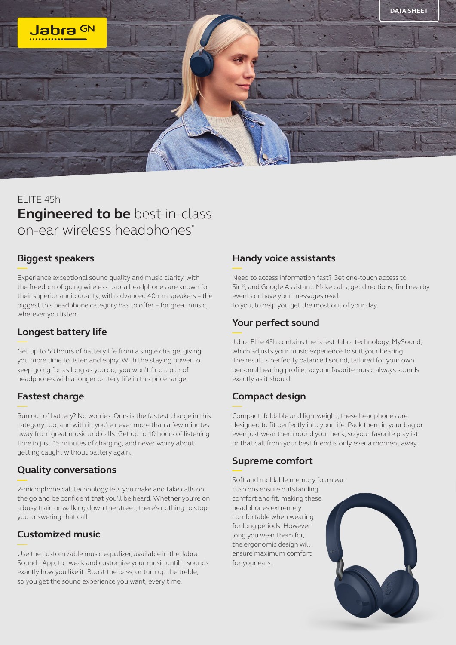

# ELITE 45h **Engineered to be** best-in-class on-ear wireless headphones\*

#### **Biggest speakers**

Experience exceptional sound quality and music clarity, with the freedom of going wireless. Jabra headphones are known for their superior audio quality, with advanced 40mm speakers – the biggest this headphone category has to offer – for great music, wherever you listen.

### **Longest battery life**

Get up to 50 hours of battery life from a single charge, giving you more time to listen and enjoy. With the staying power to keep going for as long as you do, you won't find a pair of headphones with a longer battery life in this price range.

### **Fastest charge**

Run out of battery? No worries. Ours is the fastest charge in this category too, and with it, you're never more than a few minutes away from great music and calls. Get up to 10 hours of listening time in just 15 minutes of charging, and never worry about getting caught without battery again.

### **Quality conversations**

2-microphone call technology lets you make and take calls on the go and be confident that you'll be heard. Whether you're on a busy train or walking down the street, there's nothing to stop you answering that call.

### **Customized music**

Use the customizable music equalizer, available in the Jabra Sound+ App, to tweak and customize your music until it sounds exactly how you like it. Boost the bass, or turn up the treble, so you get the sound experience you want, every time.

#### **Handy voice assistants**

Need to access information fast? Get one-touch access to Siri®, and Google Assistant. Make calls, get directions, find nearby events or have your messages read to you, to help you get the most out of your day.

# **Your perfect sound**

Jabra Elite 45h contains the latest Jabra technology, MySound, which adjusts your music experience to suit your hearing. The result is perfectly balanced sound, tailored for your own personal hearing profile, so your favorite music always sounds exactly as it should.

# **Compact design**

Compact, foldable and lightweight, these headphones are designed to fit perfectly into your life. Pack them in your bag or even just wear them round your neck, so your favorite playlist or that call from your best friend is only ever a moment away.

### **Supreme comfort**

Soft and moldable memory foam ear cushions ensure outstanding comfort and fit, making these headphones extremely comfortable when wearing for long periods. However long you wear them for, the ergonomic design will ensure maximum comfort for your ears.